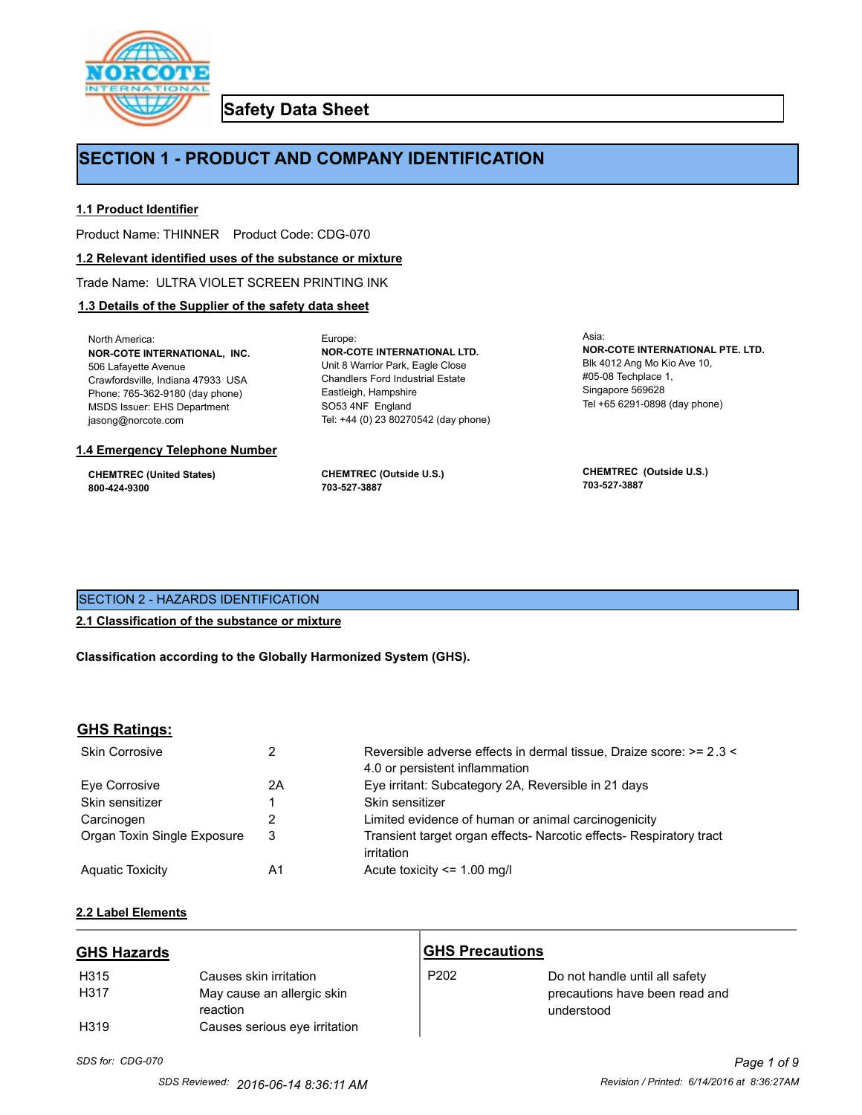

**Safety Data Sheet**

# **SECTION 1 - PRODUCT AND COMPANY IDENTIFICATION**

Europe:

## **1.1 Product Identifier**

Product Name: THINNER Product Code: CDG-070

#### **1.2 Relevant identified uses of the substance or mixture**

Trade Name: ULTRA VIOLET SCREEN PRINTING INK

## **1.3 Details of the Supplier of the safety data sheet**

North America: **NOR-COTE INTERNATIONAL, INC.** 506 Lafayette Avenue Crawfordsville, Indiana 47933 USA Phone: 765-362-9180 (day phone) MSDS Issuer: EHS Department jasong@norcote.com

#### **1.4 Emergency Telephone Number**

**CHEMTREC (United States) 800-424-9300**

**CHEMTREC (Outside U.S.) 703-527-3887**

Eastleigh, Hampshire SO53 4NF England

**NOR-COTE INTERNATIONAL LTD.** Unit 8 Warrior Park, Eagle Close Chandlers Ford Industrial Estate

Tel: +44 (0) 23 80270542 (day phone)

Asia: **NOR-COTE INTERNATIONAL PTE. LTD.** Blk 4012 Ang Mo Kio Ave 10, #05-08 Techplace 1, Singapore 569628 Tel +65 6291-0898 (day phone)

**CHEMTREC (Outside U.S.) 703-527-3887**

## SECTION 2 - HAZARDS IDENTIFICATION

## **2.1 Classification of the substance or mixture**

**Classification according to the Globally Harmonized System (GHS).**

## **GHS Ratings:**

| <b>Skin Corrosive</b>       |    | Reversible adverse effects in dermal tissue, Draize score: >= 2.3 < |
|-----------------------------|----|---------------------------------------------------------------------|
|                             |    | 4.0 or persistent inflammation                                      |
| Eve Corrosive               | 2Α | Eye irritant: Subcategory 2A, Reversible in 21 days                 |
| Skin sensitizer             |    | Skin sensitizer                                                     |
| Carcinogen                  |    | Limited evidence of human or animal carcinogenicity                 |
| Organ Toxin Single Exposure | 3  | Transient target organ effects- Narcotic effects- Respiratory tract |
|                             |    | irritation                                                          |
| <b>Aguatic Toxicity</b>     | Α1 | Acute toxicity $\leq$ 1.00 mg/l                                     |

#### **2.2 Label Elements**

| <b>GHS Hazards</b> |                                        | <b>GHS Precautions</b> |                                              |
|--------------------|----------------------------------------|------------------------|----------------------------------------------|
| H315               | Causes skin irritation                 | P <sub>202</sub>       | Do not handle until all safety               |
| H317               | May cause an allergic skin<br>reaction |                        | precautions have been read and<br>understood |
| H <sub>319</sub>   | Causes serious eye irritation          |                        |                                              |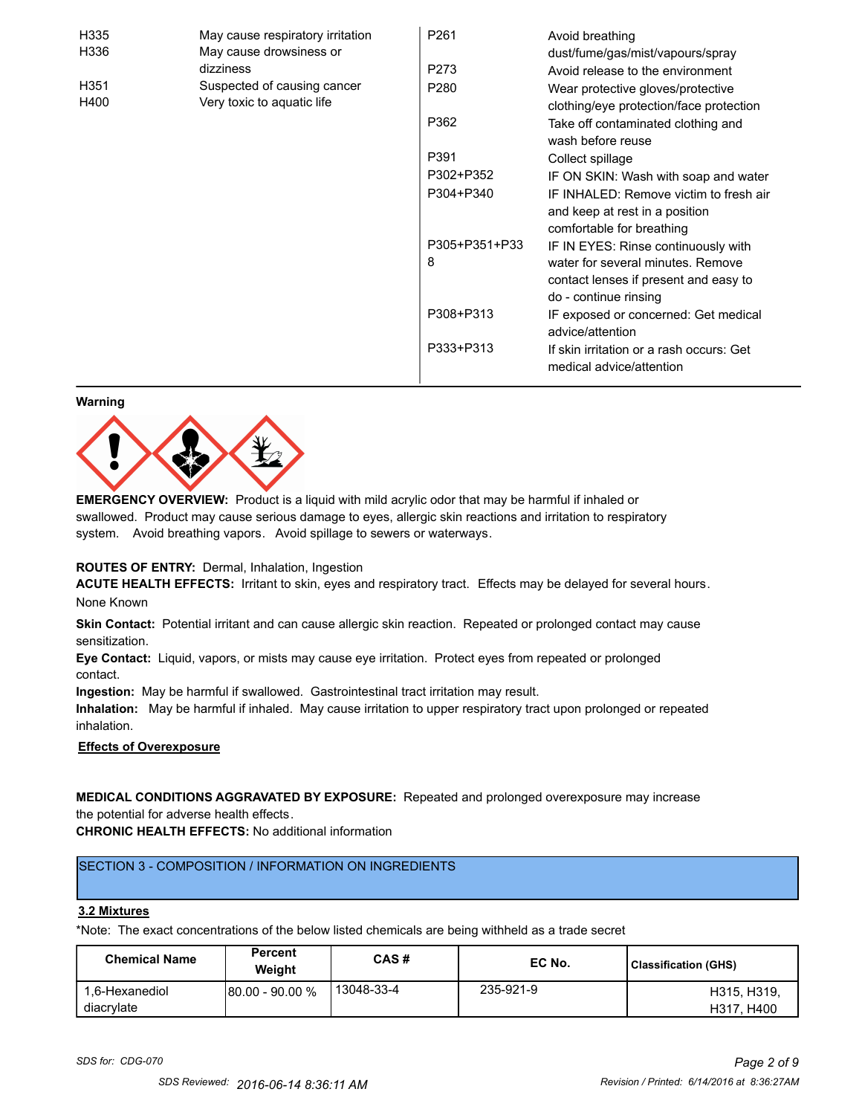| H335 | May cause respiratory irritation | P261          | Avoid breathing                                                                                       |
|------|----------------------------------|---------------|-------------------------------------------------------------------------------------------------------|
| H336 | May cause drowsiness or          |               | dust/fume/gas/mist/vapours/spray                                                                      |
|      | dizziness                        | P273          | Avoid release to the environment                                                                      |
| H351 | Suspected of causing cancer      | P280          | Wear protective gloves/protective                                                                     |
| H400 | Very toxic to aquatic life       |               | clothing/eye protection/face protection                                                               |
|      |                                  | P362          | Take off contaminated clothing and<br>wash before reuse                                               |
|      |                                  | P391          | Collect spillage                                                                                      |
|      |                                  | P302+P352     | IF ON SKIN: Wash with soap and water                                                                  |
|      |                                  | P304+P340     | IF INHALED: Remove victim to fresh air<br>and keep at rest in a position<br>comfortable for breathing |
|      |                                  | P305+P351+P33 | IF IN EYES: Rinse continuously with                                                                   |
|      |                                  | 8             | water for several minutes. Remove<br>contact lenses if present and easy to                            |
|      |                                  |               | do - continue rinsing                                                                                 |
|      |                                  | P308+P313     | IF exposed or concerned: Get medical<br>advice/attention                                              |
|      |                                  | P333+P313     | If skin irritation or a rash occurs: Get<br>medical advice/attention                                  |

#### **Warning**



**EMERGENCY OVERVIEW:** Product is a liquid with mild acrylic odor that may be harmful if inhaled or swallowed. Product may cause serious damage to eyes, allergic skin reactions and irritation to respiratory system. Avoid breathing vapors. Avoid spillage to sewers or waterways.

#### **ROUTES OF ENTRY:** Dermal, Inhalation, Ingestion

**ACUTE HEALTH EFFECTS:** Irritant to skin, eyes and respiratory tract. Effects may be delayed for several hours. None Known

**Skin Contact:** Potential irritant and can cause allergic skin reaction. Repeated or prolonged contact may cause sensitization.

**Eye Contact:** Liquid, vapors, or mists may cause eye irritation. Protect eyes from repeated or prolonged contact.

**Ingestion:** May be harmful if swallowed. Gastrointestinal tract irritation may result.

**Inhalation:** May be harmful if inhaled. May cause irritation to upper respiratory tract upon prolonged or repeated inhalation.

#### **Effects of Overexposure**

**MEDICAL CONDITIONS AGGRAVATED BY EXPOSURE:** Repeated and prolonged overexposure may increase the potential for adverse health effects.

**CHRONIC HEALTH EFFECTS:** No additional information

## SECTION 3 - COMPOSITION / INFORMATION ON INGREDIENTS

#### **3.2 Mixtures**

\*Note: The exact concentrations of the below listed chemicals are being withheld as a trade secret

| <b>Chemical Name</b>         | Percent<br>Weight | CAS#       | EC No.    | Classification (GHS)      |
|------------------------------|-------------------|------------|-----------|---------------------------|
| 1,6-Hexanediol<br>diacrylate | 80.00 - 90.00 %   | 13048-33-4 | 235-921-9 | H315, H319.<br>H317, H400 |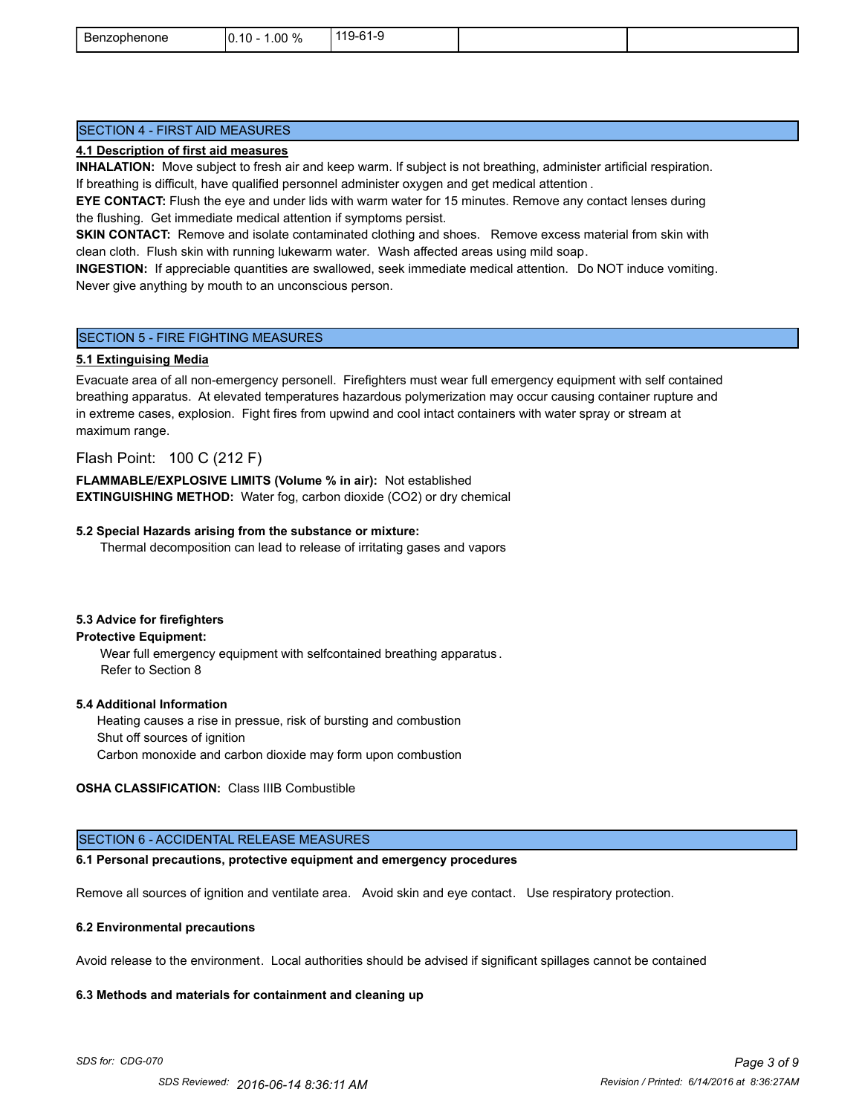| ∽<br>Benzophenone | $.00\%$<br>$.10 -$<br>١r<br>- 70<br>ີ | C <sub>1</sub><br>$119-$<br>.<br>ີ |  |
|-------------------|---------------------------------------|------------------------------------|--|
|                   |                                       |                                    |  |

## SECTION 4 - FIRST AID MEASURES

#### **4.1 Description of first aid measures**

**INHALATION:** Move subject to fresh air and keep warm. If subject is not breathing, administer artificial respiration. If breathing is difficult, have qualified personnel administer oxygen and get medical attention .

**EYE CONTACT:** Flush the eye and under lids with warm water for 15 minutes. Remove any contact lenses during the flushing. Get immediate medical attention if symptoms persist.

**SKIN CONTACT:** Remove and isolate contaminated clothing and shoes. Remove excess material from skin with clean cloth. Flush skin with running lukewarm water. Wash affected areas using mild soap.

**INGESTION:** If appreciable quantities are swallowed, seek immediate medical attention. Do NOT induce vomiting. Never give anything by mouth to an unconscious person.

#### SECTION 5 - FIRE FIGHTING MEASURES

#### **5.1 Extinguising Media**

Evacuate area of all non-emergency personell. Firefighters must wear full emergency equipment with self contained breathing apparatus. At elevated temperatures hazardous polymerization may occur causing container rupture and in extreme cases, explosion. Fight fires from upwind and cool intact containers with water spray or stream at maximum range.

## Flash Point: 100 C (212 F)

**FLAMMABLE/EXPLOSIVE LIMITS (Volume % in air):** Not established **EXTINGUISHING METHOD:** Water fog, carbon dioxide (CO2) or dry chemical

#### **5.2 Special Hazards arising from the substance or mixture:**

Thermal decomposition can lead to release of irritating gases and vapors

#### **5.3 Advice for firefighters**

#### **Protective Equipment:**

Wear full emergency equipment with selfcontained breathing apparatus . Refer to Section 8

#### **5.4 Additional Information**

 Heating causes a rise in pressue, risk of bursting and combustion Shut off sources of ignition Carbon monoxide and carbon dioxide may form upon combustion

## **OSHA CLASSIFICATION:** Class IIIB Combustible

#### SECTION 6 - ACCIDENTAL RELEASE MEASURES

#### **6.1 Personal precautions, protective equipment and emergency procedures**

Remove all sources of ignition and ventilate area. Avoid skin and eye contact. Use respiratory protection.

#### **6.2 Environmental precautions**

Avoid release to the environment. Local authorities should be advised if significant spillages cannot be contained

#### **6.3 Methods and materials for containment and cleaning up**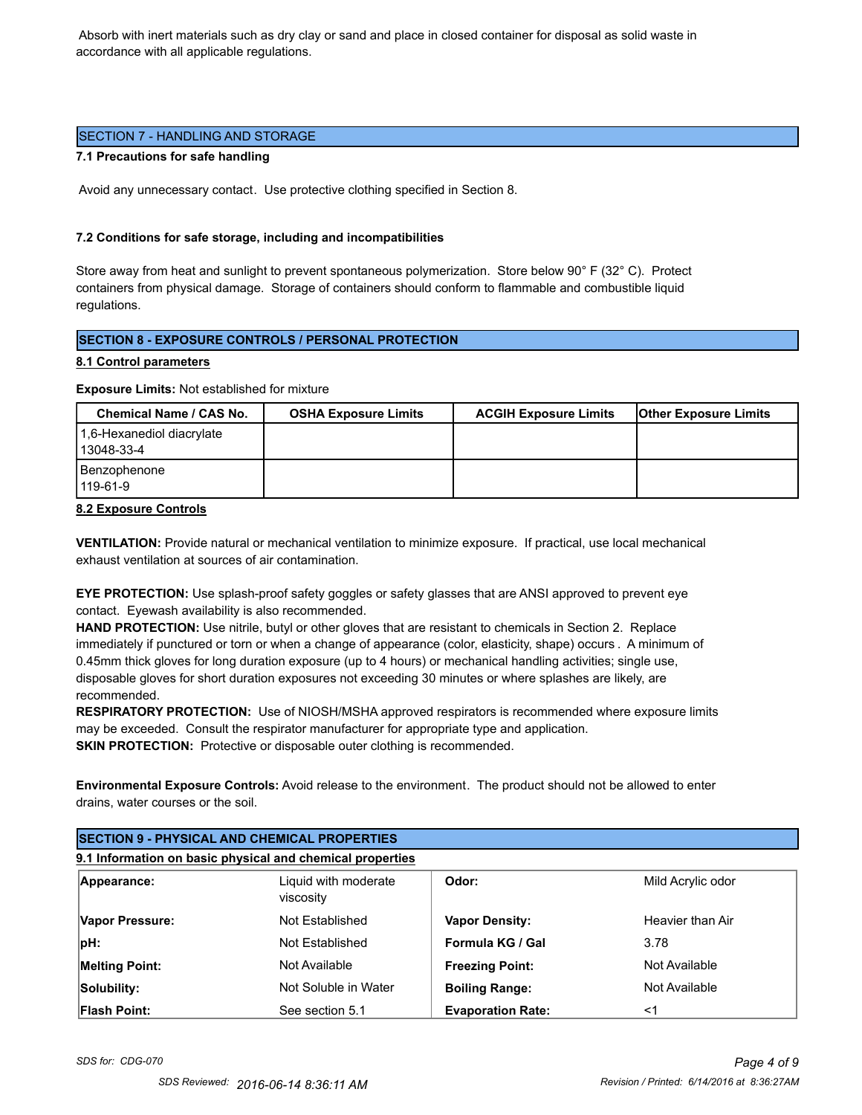Absorb with inert materials such as dry clay or sand and place in closed container for disposal as solid waste in accordance with all applicable regulations.

## SECTION 7 - HANDLING AND STORAGE

#### **7.1 Precautions for safe handling**

Avoid any unnecessary contact. Use protective clothing specified in Section 8.

## **7.2 Conditions for safe storage, including and incompatibilities**

Store away from heat and sunlight to prevent spontaneous polymerization. Store below 90° F (32° C). Protect containers from physical damage. Storage of containers should conform to flammable and combustible liquid regulations.

## **SECTION 8 - EXPOSURE CONTROLS / PERSONAL PROTECTION**

## **8.1 Control parameters**

**Exposure Limits:** Not established for mixture

| <b>Chemical Name / CAS No.</b>          | <b>OSHA Exposure Limits</b> | <b>ACGIH Exposure Limits</b> | <b>Other Exposure Limits</b> |
|-----------------------------------------|-----------------------------|------------------------------|------------------------------|
| 1.6-Hexanediol diacrylate<br>13048-33-4 |                             |                              |                              |
| Benzophenone<br>119-61-9                |                             |                              |                              |

**8.2 Exposure Controls**

**VENTILATION:** Provide natural or mechanical ventilation to minimize exposure. If practical, use local mechanical exhaust ventilation at sources of air contamination.

**EYE PROTECTION:** Use splash-proof safety goggles or safety glasses that are ANSI approved to prevent eye contact. Eyewash availability is also recommended.

**HAND PROTECTION:** Use nitrile, butyl or other gloves that are resistant to chemicals in Section 2. Replace immediately if punctured or torn or when a change of appearance (color, elasticity, shape) occurs . A minimum of 0.45mm thick gloves for long duration exposure (up to 4 hours) or mechanical handling activities; single use, disposable gloves for short duration exposures not exceeding 30 minutes or where splashes are likely, are recommended.

**RESPIRATORY PROTECTION:** Use of NIOSH/MSHA approved respirators is recommended where exposure limits may be exceeded. Consult the respirator manufacturer for appropriate type and application. **SKIN PROTECTION:** Protective or disposable outer clothing is recommended.

**Environmental Exposure Controls:** Avoid release to the environment. The product should not be allowed to enter drains, water courses or the soil.

|                       | <b>SECTION 9 - PHYSICAL AND CHEMICAL PROPERTIES</b>       |                          |                   |  |
|-----------------------|-----------------------------------------------------------|--------------------------|-------------------|--|
|                       | 9.1 Information on basic physical and chemical properties |                          |                   |  |
| Appearance:           | Liquid with moderate<br>viscosity                         | Odor:                    | Mild Acrylic odor |  |
| Vapor Pressure:       | Not Established                                           | <b>Vapor Density:</b>    | Heavier than Air  |  |
| pH:                   | Not Established                                           | Formula KG / Gal         | 3.78              |  |
| <b>Melting Point:</b> | Not Available                                             | <b>Freezing Point:</b>   | Not Available     |  |
| Solubility:           | Not Soluble in Water                                      | <b>Boiling Range:</b>    | Not Available     |  |
| <b>Flash Point:</b>   | See section 5.1                                           | <b>Evaporation Rate:</b> | <1                |  |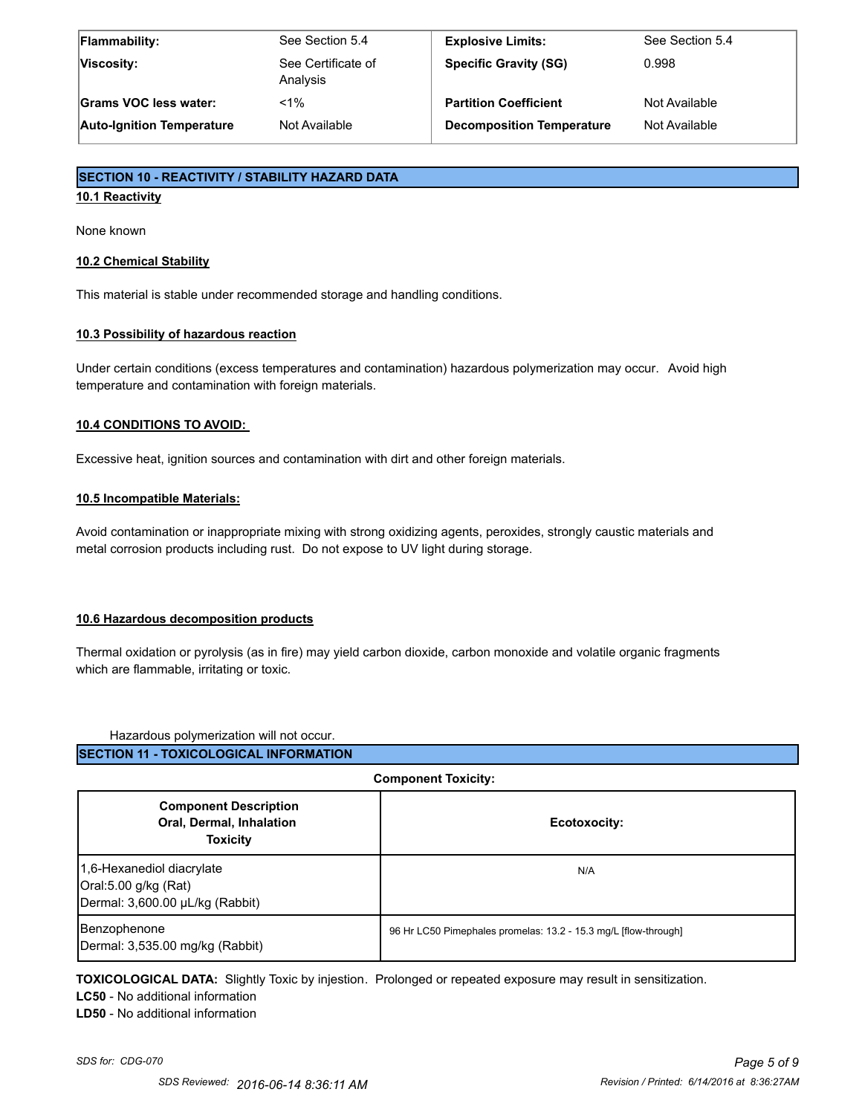| <b>Flammability:</b>             | See Section 5.4                | <b>Explosive Limits:</b>         | See Section 5.4 |
|----------------------------------|--------------------------------|----------------------------------|-----------------|
| Viscosity:                       | See Certificate of<br>Analysis | <b>Specific Gravity (SG)</b>     | 0.998           |
| Grams VOC less water:            | $< 1\%$                        | <b>Partition Coefficient</b>     | Not Available   |
| <b>Auto-Ignition Temperature</b> | Not Available                  | <b>Decomposition Temperature</b> | Not Available   |

## **SECTION 10 - REACTIVITY / STABILITY HAZARD DATA**

#### **10.1 Reactivity**

None known

## **10.2 Chemical Stability**

This material is stable under recommended storage and handling conditions.

#### **10.3 Possibility of hazardous reaction**

Under certain conditions (excess temperatures and contamination) hazardous polymerization may occur. Avoid high temperature and contamination with foreign materials.

## **10.4 CONDITIONS TO AVOID:**

Excessive heat, ignition sources and contamination with dirt and other foreign materials.

#### **10.5 Incompatible Materials:**

Avoid contamination or inappropriate mixing with strong oxidizing agents, peroxides, strongly caustic materials and metal corrosion products including rust. Do not expose to UV light during storage.

## **10.6 Hazardous decomposition products**

Thermal oxidation or pyrolysis (as in fire) may yield carbon dioxide, carbon monoxide and volatile organic fragments which are flammable, irritating or toxic.

Hazardous polymerization will not occur.

| <b>COMPONEM TOXICITY.</b>                                                            |                                                                 |  |
|--------------------------------------------------------------------------------------|-----------------------------------------------------------------|--|
| <b>Component Description</b><br>Oral, Dermal, Inhalation<br><b>Toxicity</b>          | Ecotoxocity:                                                    |  |
| 1,6-Hexanediol diacrylate<br>Oral:5.00 g/kg (Rat)<br>Dermal: 3,600.00 µL/kg (Rabbit) | N/A                                                             |  |
| Benzophenone<br>Dermal: 3,535.00 mg/kg (Rabbit)                                      | 96 Hr LC50 Pimephales promelas: 13.2 - 15.3 mg/L [flow-through] |  |

**Component Toxicity:**

**TOXICOLOGICAL DATA:** Slightly Toxic by injestion. Prolonged or repeated exposure may result in sensitization.

**LC50** - No additional information

**LD50** - No additional information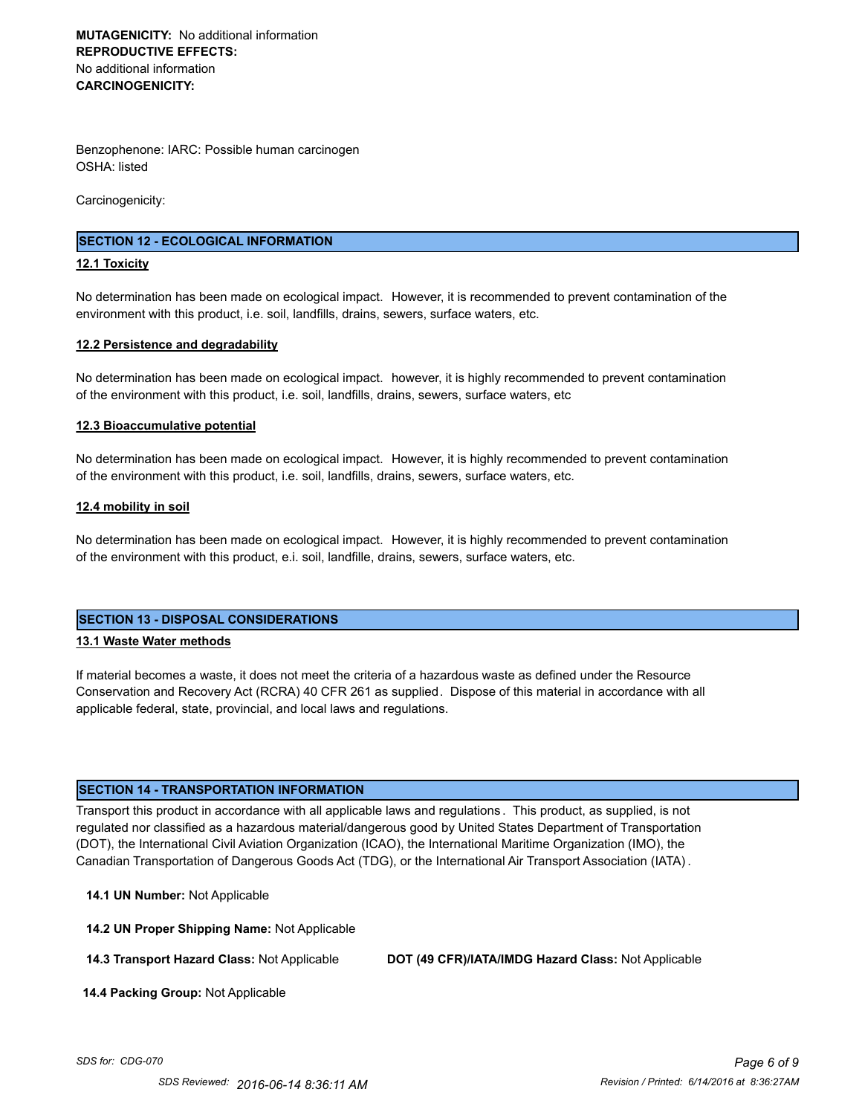## **MUTAGENICITY:** No additional information **REPRODUCTIVE EFFECTS:** No additional information **CARCINOGENICITY:**

Benzophenone: IARC: Possible human carcinogen OSHA: listed

Carcinogenicity:

## **SECTION 12 - ECOLOGICAL INFORMATION**

#### **12.1 Toxicity**

No determination has been made on ecological impact. However, it is recommended to prevent contamination of the environment with this product, i.e. soil, landfills, drains, sewers, surface waters, etc.

#### **12.2 Persistence and degradability**

No determination has been made on ecological impact. however, it is highly recommended to prevent contamination of the environment with this product, i.e. soil, landfills, drains, sewers, surface waters, etc

#### **12.3 Bioaccumulative potential**

No determination has been made on ecological impact. However, it is highly recommended to prevent contamination of the environment with this product, i.e. soil, landfills, drains, sewers, surface waters, etc.

#### **12.4 mobility in soil**

No determination has been made on ecological impact. However, it is highly recommended to prevent contamination of the environment with this product, e.i. soil, landfille, drains, sewers, surface waters, etc.

#### **SECTION 13 - DISPOSAL CONSIDERATIONS**

#### **13.1 Waste Water methods**

If material becomes a waste, it does not meet the criteria of a hazardous waste as defined under the Resource Conservation and Recovery Act (RCRA) 40 CFR 261 as supplied. Dispose of this material in accordance with all applicable federal, state, provincial, and local laws and regulations.

## **SECTION 14 - TRANSPORTATION INFORMATION**

Transport this product in accordance with all applicable laws and regulations . This product, as supplied, is not regulated nor classified as a hazardous material/dangerous good by United States Department of Transportation (DOT), the International Civil Aviation Organization (ICAO), the International Maritime Organization (IMO), the Canadian Transportation of Dangerous Goods Act (TDG), or the International Air Transport Association (IATA) .

**14.1 UN Number:** Not Applicable

**14.2 UN Proper Shipping Name:** Not Applicable

**14.3 Transport Hazard Class:** Not Applicable **DOT (49 CFR)/IATA/IMDG Hazard Class:** Not Applicable

 **14.4 Packing Group:** Not Applicable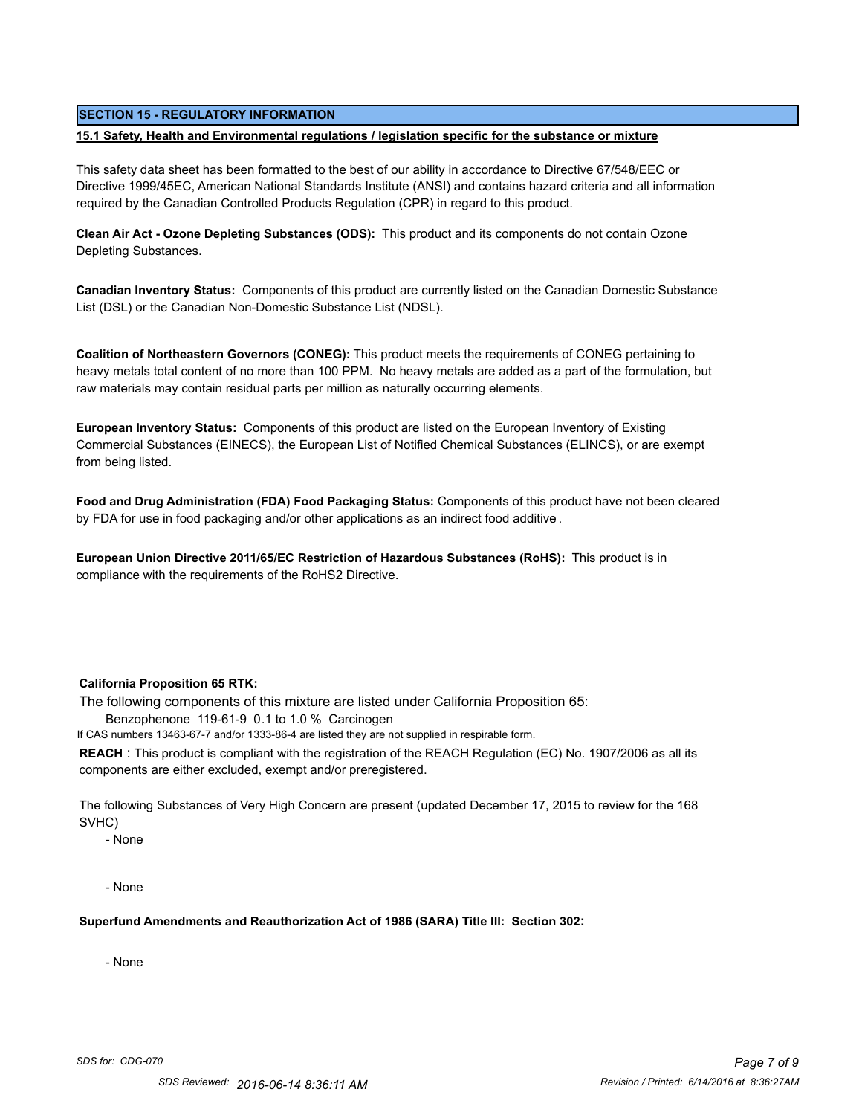#### **SECTION 15 - REGULATORY INFORMATION**

#### **15.1 Safety, Health and Environmental regulations / legislation specific for the substance or mixture**

This safety data sheet has been formatted to the best of our ability in accordance to Directive 67/548/EEC or Directive 1999/45EC, American National Standards Institute (ANSI) and contains hazard criteria and all information required by the Canadian Controlled Products Regulation (CPR) in regard to this product.

**Clean Air Act - Ozone Depleting Substances (ODS):** This product and its components do not contain Ozone Depleting Substances.

**Canadian Inventory Status:** Components of this product are currently listed on the Canadian Domestic Substance List (DSL) or the Canadian Non-Domestic Substance List (NDSL).

**Coalition of Northeastern Governors (CONEG):** This product meets the requirements of CONEG pertaining to heavy metals total content of no more than 100 PPM. No heavy metals are added as a part of the formulation, but raw materials may contain residual parts per million as naturally occurring elements.

**European Inventory Status:** Components of this product are listed on the European Inventory of Existing Commercial Substances (EINECS), the European List of Notified Chemical Substances (ELINCS), or are exempt from being listed.

**Food and Drug Administration (FDA) Food Packaging Status:** Components of this product have not been cleared by FDA for use in food packaging and/or other applications as an indirect food additive .

**European Union Directive 2011/65/EC Restriction of Hazardous Substances (RoHS):** This product is in compliance with the requirements of the RoHS2 Directive.

#### **California Proposition 65 RTK:**

The following components of this mixture are listed under California Proposition 65:

Benzophenone 119-61-9 0.1 to 1.0 % Carcinogen

If CAS numbers 13463-67-7 and/or 1333-86-4 are listed they are not supplied in respirable form.

**REACH** : This product is compliant with the registration of the REACH Regulation (EC) No. 1907/2006 as all its components are either excluded, exempt and/or preregistered.

The following Substances of Very High Concern are present (updated December 17, 2015 to review for the 168 SVHC)

- None

- None

**Superfund Amendments and Reauthorization Act of 1986 (SARA) Title III: Section 302:**

- None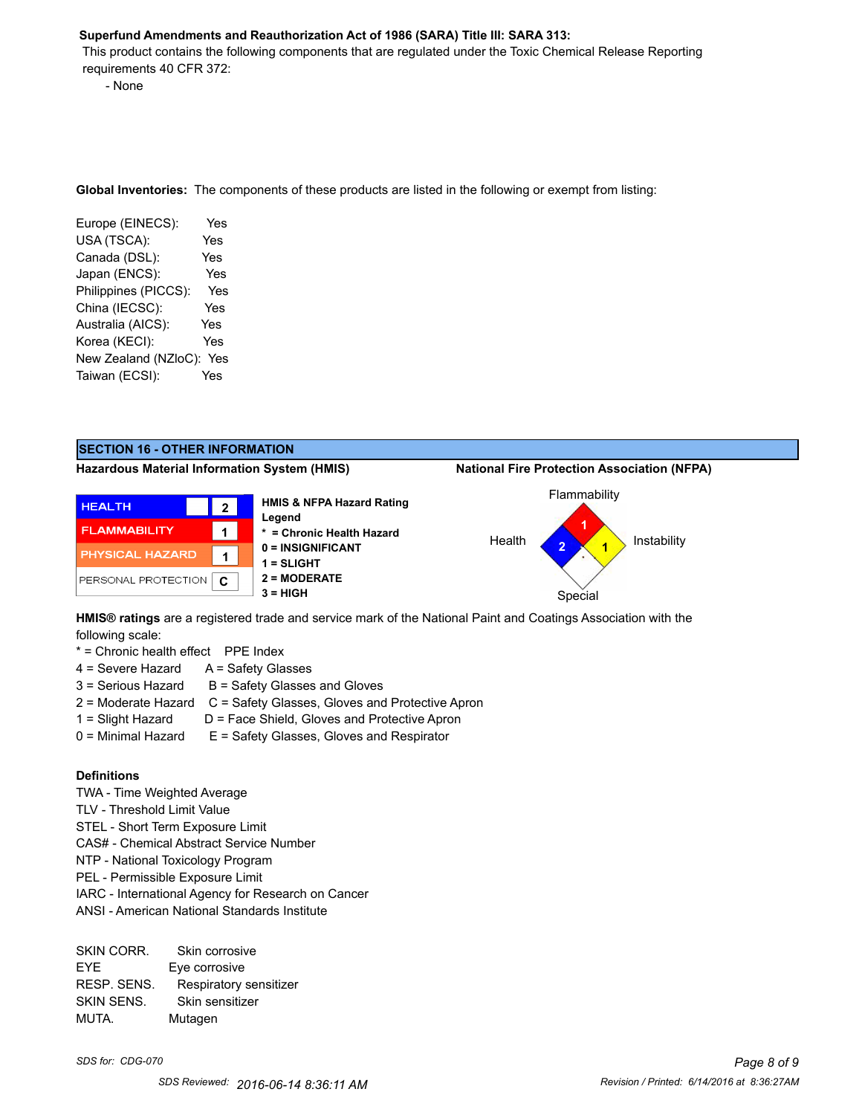#### **Superfund Amendments and Reauthorization Act of 1986 (SARA) Title III: SARA 313:**

 This product contains the following components that are regulated under the Toxic Chemical Release Reporting requirements 40 CFR 372:

- None

**Global Inventories:** The components of these products are listed in the following or exempt from listing:

| Europe (EINECS):         | Yes |
|--------------------------|-----|
| USA (TSCA):              | Yes |
| Canada (DSL):            | Yes |
| Japan (ENCS):            | Yes |
| Philippines (PICCS):     | Yes |
| China (IECSC):           | Yes |
| Australia (AICS):        | Yes |
| Korea (KECI):            | Yes |
| New Zealand (NZloC): Yes |     |
| Taiwan (ECSI):           | Yes |

#### **SECTION 16 - OTHER INFORMATION**

**Hazardous Material Information System (HMIS) National Fire Protection Association (NFPA)**



**HMIS® ratings** are a registered trade and service mark of the National Paint and Coatings Association with the following scale:

\* = Chronic health effect PPE Index

- 4 = Severe Hazard A = Safety Glasses
- $3 =$  Serious Hazard  $B =$  Safety Glasses and Gloves
- 2 = Moderate Hazard C = Safety Glasses, Gloves and Protective Apron
- 1 = Slight Hazard D = Face Shield, Gloves and Protective Apron
- 0 = Minimal Hazard E = Safety Glasses, Gloves and Respirator

#### **Definitions**

- TWA Time Weighted Average
- TLV Threshold Limit Value
- STEL Short Term Exposure Limit
- CAS# Chemical Abstract Service Number
- NTP National Toxicology Program
- PEL Permissible Exposure Limit
- IARC International Agency for Research on Cancer
- ANSI American National Standards Institute

| SKIN CORR.  | Skin corrosive         |
|-------------|------------------------|
| <b>FYF</b>  | Eye corrosive          |
| RESP. SENS. | Respiratory sensitizer |
| SKIN SENS.  | Skin sensitizer        |
| MUTA.       | Mutagen                |